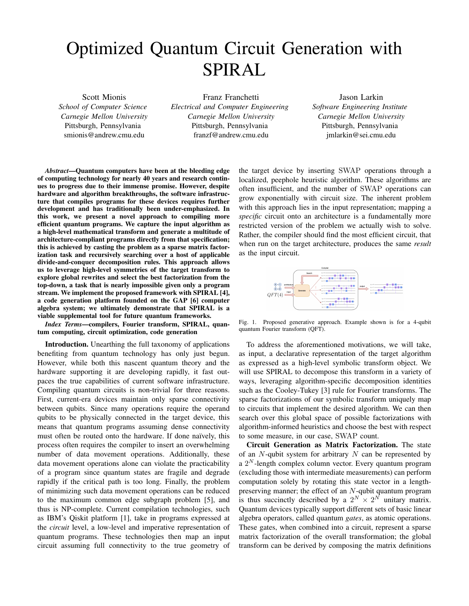## Optimized Quantum Circuit Generation with SPIRAL

Scott Mionis *School of Computer Science Carnegie Mellon University* Pittsburgh, Pennsylvania smionis@andrew.cmu.edu

Franz Franchetti *Electrical and Computer Engineering Carnegie Mellon University* Pittsburgh, Pennsylvania franzf@andrew.cmu.edu

Jason Larkin *Software Engineering Institute Carnegie Mellon University* Pittsburgh, Pennsylvania jmlarkin@sei.cmu.edu

*Abstract*—Quantum computers have been at the bleeding edge of computing technology for nearly 40 years and research continues to progress due to their immense promise. However, despite hardware and algorithm breakthroughs, the software infrastructure that compiles programs for these devices requires further development and has traditionally been under-emphasized. In this work, we present a novel approach to compiling more efficient quantum programs. We capture the input algorithm as a high-level mathematical transform and generate a multitude of architecture-compliant programs directly from that specification; this is achieved by casting the problem as a sparse matrix factorization task and recursively searching over a host of applicable divide-and-conquer decomposition rules. This approach allows us to leverage high-level symmetries of the target transform to explore global rewrites and select the best factorization from the top-down, a task that is nearly impossible given only a program stream. We implement the proposed framework with SPIRAL [4], a code generation platform founded on the GAP [6] computer algebra system; we ultimately demonstrate that SPIRAL is a viable supplemental tool for future quantum frameworks.

*Index Terms*—compilers, Fourier transform, SPIRAL, quantum computing, circuit optimization, code generation

Introduction. Unearthing the full taxonomy of applications benefiting from quantum technology has only just begun. However, while both this nascent quantum theory and the hardware supporting it are developing rapidly, it fast outpaces the true capabilities of current software infrastructure. Compiling quantum circuits is non-trivial for three reasons. First, current-era devices maintain only sparse connectivity between qubits. Since many operations require the operand qubits to be physically connected in the target device, this means that quantum programs assuming dense connectivity must often be routed onto the hardware. If done naïvely, this process often requires the compiler to insert an overwhelming number of data movement operations. Additionally, these data movement operations alone can violate the practicability of a program since quantum states are fragile and degrade rapidly if the critical path is too long. Finally, the problem of minimizing such data movement operations can be reduced to the maximum common edge subgraph problem [5], and thus is NP-complete. Current compilation technologies, such as IBM's Qiskit platform [1], take in programs expressed at the *circuit* level, a low-level and imperative representation of quantum programs. These technologies then map an input circuit assuming full connectivity to the true geometry of

the target device by inserting SWAP operations through a localized, peephole heuristic algorithm. These algorithms are often insufficient, and the number of SWAP operations can grow exponentially with circuit size. The inherent problem with this approach lies in the input representation; mapping a *specific* circuit onto an architecture is a fundamentally more restricted version of the problem we actually wish to solve. Rather, the compiler should find the most efficient circuit, that when run on the target architecture, produces the same *result* as the input circuit.



Fig. 1. Proposed generative approach. Example shown is for a 4-qubit quantum Fourier transform (QFT).

To address the aforementioned motivations, we will take, as input, a declarative representation of the target algorithm as expressed as a high-level symbolic transform object. We will use SPIRAL to decompose this transform in a variety of ways, leveraging algorithm-specific decomposition identities such as the Cooley-Tukey [3] rule for Fourier transforms. The sparse factorizations of our symbolic transform uniquely map to circuits that implement the desired algorithm. We can then search over this global space of possible factorizations with algorithm-informed heuristics and choose the best with respect to some measure, in our case, SWAP count.

Circuit Generation as Matrix Factorization. The state of an  $N$ -qubit system for arbitrary  $N$  can be represented by a  $2^N$ -length complex column vector. Every quantum program (excluding those with intermediate measurements) can perform computation solely by rotating this state vector in a lengthpreserving manner; the effect of an N-qubit quantum program is thus succinctly described by a  $2^N \times 2^N$  unitary matrix. Quantum devices typically support different sets of basic linear algebra operators, called quantum *gates*, as atomic operations. These gates, when combined into a circuit, represent a sparse matrix factorization of the overall transformation; the global transform can be derived by composing the matrix definitions